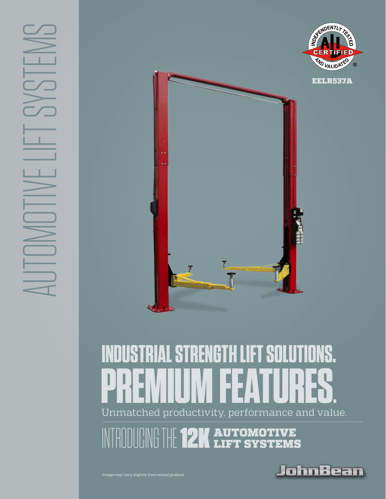

# Unmatched productivity, performance and value. **INDUSTRIAL STRENGTH LIFT SOLUTIONS. PREMIUM FEATURES.**

**12K AUTOMOTIVE**<br>**IZK** LIFT SYSTEMS